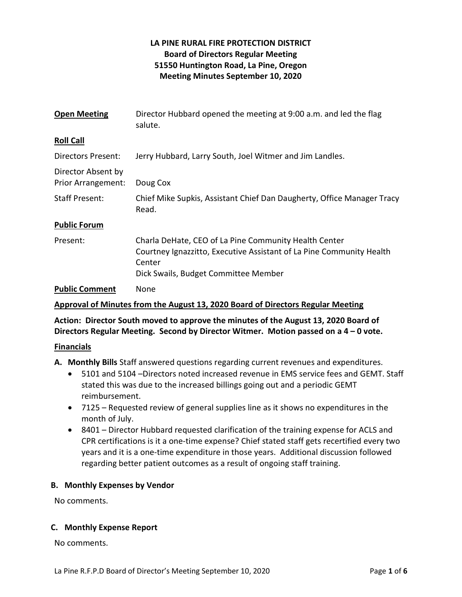# LA PINE RURAL FIRE PROTECTION DISTRICT Board of Directors Regular Meeting 51550 Huntington Road, La Pine, Oregon Meeting Minutes September 10, 2020

| <b>Open Meeting</b>                             | Director Hubbard opened the meeting at 9:00 a.m. and led the flag<br>salute.                                                                                                    |
|-------------------------------------------------|---------------------------------------------------------------------------------------------------------------------------------------------------------------------------------|
| <b>Roll Call</b>                                |                                                                                                                                                                                 |
| Directors Present:                              | Jerry Hubbard, Larry South, Joel Witmer and Jim Landles.                                                                                                                        |
| Director Absent by<br><b>Prior Arrangement:</b> | Doug Cox                                                                                                                                                                        |
| <b>Staff Present:</b>                           | Chief Mike Supkis, Assistant Chief Dan Daugherty, Office Manager Tracy<br>Read.                                                                                                 |
| <b>Public Forum</b>                             |                                                                                                                                                                                 |
| Present:                                        | Charla DeHate, CEO of La Pine Community Health Center<br>Courtney Ignazzitto, Executive Assistant of La Pine Community Health<br>Center<br>Dick Swails, Budget Committee Member |
| <b>Public Comment</b>                           | None                                                                                                                                                                            |

## Approval of Minutes from the August 13, 2020 Board of Directors Regular Meeting

Action: Director South moved to approve the minutes of the August 13, 2020 Board of Directors Regular Meeting. Second by Director Witmer. Motion passed on a 4 – 0 vote.

#### Financials

A. Monthly Bills Staff answered questions regarding current revenues and expenditures.

- 5101 and 5104 –Directors noted increased revenue in EMS service fees and GEMT. Staff stated this was due to the increased billings going out and a periodic GEMT reimbursement.
- 7125 Requested review of general supplies line as it shows no expenditures in the month of July.
- 8401 Director Hubbard requested clarification of the training expense for ACLS and CPR certifications is it a one-time expense? Chief stated staff gets recertified every two years and it is a one-time expenditure in those years. Additional discussion followed regarding better patient outcomes as a result of ongoing staff training.

#### B. Monthly Expenses by Vendor

No comments.

## C. Monthly Expense Report

No comments.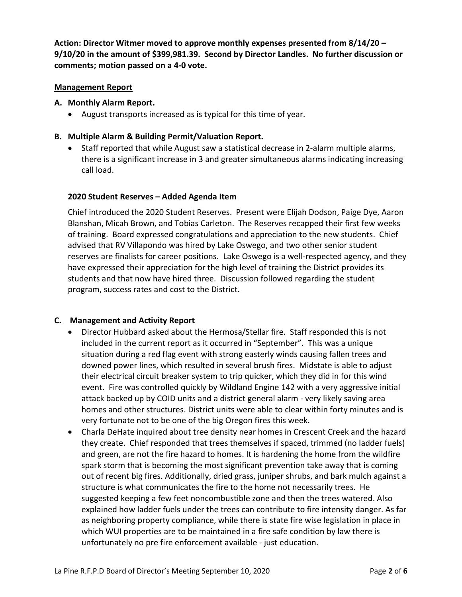Action: Director Witmer moved to approve monthly expenses presented from 8/14/20 – 9/10/20 in the amount of \$399,981.39. Second by Director Landles. No further discussion or comments; motion passed on a 4-0 vote.

## Management Report

#### A. Monthly Alarm Report.

August transports increased as is typical for this time of year.

### B. Multiple Alarm & Building Permit/Valuation Report.

• Staff reported that while August saw a statistical decrease in 2-alarm multiple alarms, there is a significant increase in 3 and greater simultaneous alarms indicating increasing call load.

#### 2020 Student Reserves – Added Agenda Item

Chief introduced the 2020 Student Reserves. Present were Elijah Dodson, Paige Dye, Aaron Blanshan, Micah Brown, and Tobias Carleton. The Reserves recapped their first few weeks of training. Board expressed congratulations and appreciation to the new students. Chief advised that RV Villapondo was hired by Lake Oswego, and two other senior student reserves are finalists for career positions. Lake Oswego is a well-respected agency, and they have expressed their appreciation for the high level of training the District provides its students and that now have hired three. Discussion followed regarding the student program, success rates and cost to the District.

#### C. Management and Activity Report

- Director Hubbard asked about the Hermosa/Stellar fire. Staff responded this is not included in the current report as it occurred in "September". This was a unique situation during a red flag event with strong easterly winds causing fallen trees and downed power lines, which resulted in several brush fires. Midstate is able to adjust their electrical circuit breaker system to trip quicker, which they did in for this wind event. Fire was controlled quickly by Wildland Engine 142 with a very aggressive initial attack backed up by COID units and a district general alarm - very likely saving area homes and other structures. District units were able to clear within forty minutes and is very fortunate not to be one of the big Oregon fires this week.
- Charla DeHate inquired about tree density near homes in Crescent Creek and the hazard they create. Chief responded that trees themselves if spaced, trimmed (no ladder fuels) and green, are not the fire hazard to homes. It is hardening the home from the wildfire spark storm that is becoming the most significant prevention take away that is coming out of recent big fires. Additionally, dried grass, juniper shrubs, and bark mulch against a structure is what communicates the fire to the home not necessarily trees. He suggested keeping a few feet noncombustible zone and then the trees watered. Also explained how ladder fuels under the trees can contribute to fire intensity danger. As far as neighboring property compliance, while there is state fire wise legislation in place in which WUI properties are to be maintained in a fire safe condition by law there is unfortunately no pre fire enforcement available - just education.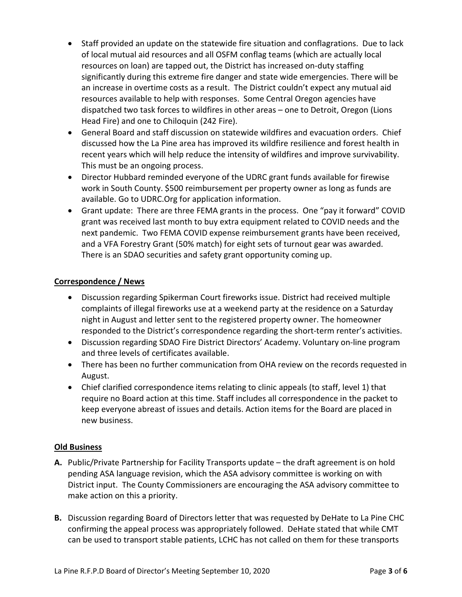- Staff provided an update on the statewide fire situation and conflagrations. Due to lack of local mutual aid resources and all OSFM conflag teams (which are actually local resources on loan) are tapped out, the District has increased on-duty staffing significantly during this extreme fire danger and state wide emergencies. There will be an increase in overtime costs as a result. The District couldn't expect any mutual aid resources available to help with responses. Some Central Oregon agencies have dispatched two task forces to wildfires in other areas – one to Detroit, Oregon (Lions Head Fire) and one to Chiloquin (242 Fire).
- General Board and staff discussion on statewide wildfires and evacuation orders. Chief discussed how the La Pine area has improved its wildfire resilience and forest health in recent years which will help reduce the intensity of wildfires and improve survivability. This must be an ongoing process.
- Director Hubbard reminded everyone of the UDRC grant funds available for firewise work in South County. \$500 reimbursement per property owner as long as funds are available. Go to UDRC.Org for application information.
- Grant update: There are three FEMA grants in the process. One "pay it forward" COVID grant was received last month to buy extra equipment related to COVID needs and the next pandemic. Two FEMA COVID expense reimbursement grants have been received, and a VFA Forestry Grant (50% match) for eight sets of turnout gear was awarded. There is an SDAO securities and safety grant opportunity coming up.

## Correspondence / News

- Discussion regarding Spikerman Court fireworks issue. District had received multiple complaints of illegal fireworks use at a weekend party at the residence on a Saturday night in August and letter sent to the registered property owner. The homeowner responded to the District's correspondence regarding the short-term renter's activities.
- Discussion regarding SDAO Fire District Directors' Academy. Voluntary on-line program and three levels of certificates available.
- There has been no further communication from OHA review on the records requested in August.
- Chief clarified correspondence items relating to clinic appeals (to staff, level 1) that require no Board action at this time. Staff includes all correspondence in the packet to keep everyone abreast of issues and details. Action items for the Board are placed in new business.

## Old Business

- A. Public/Private Partnership for Facility Transports update the draft agreement is on hold pending ASA language revision, which the ASA advisory committee is working on with District input. The County Commissioners are encouraging the ASA advisory committee to make action on this a priority.
- B. Discussion regarding Board of Directors letter that was requested by DeHate to La Pine CHC confirming the appeal process was appropriately followed. DeHate stated that while CMT can be used to transport stable patients, LCHC has not called on them for these transports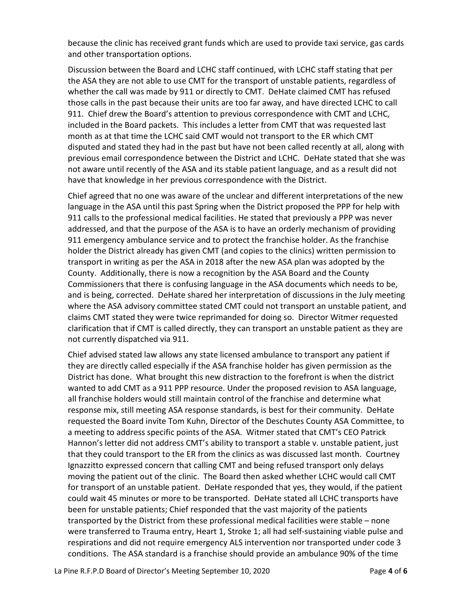because the clinic has received grant funds which are used to provide taxi service, gas cards and other transportation options.

Discussion between the Board and LCHC staff continued, with LCHC staff stating that per the ASA they are not able to use CMT for the transport of unstable patients, regardless of whether the call was made by 911 or directly to CMT. DeHate claimed CMT has refused those calls in the past because their units are too far away, and have directed LCHC to call 911. Chief drew the Board's attention to previous correspondence with CMT and LCHC, included in the Board packets. This includes a letter from CMT that was requested last month as at that time the LCHC said CMT would not transport to the ER which CMT disputed and stated they had in the past but have not been called recently at all, along with previous email correspondence between the District and LCHC. DeHate stated that she was not aware until recently of the ASA and its stable patient language, and as a result did not have that knowledge in her previous correspondence with the District.

Chief agreed that no one was aware of the unclear and different interpretations of the new language in the ASA until this past Spring when the District proposed the PPP for help with 911 calls to the professional medical facilities. He stated that previously a PPP was never addressed, and that the purpose of the ASA is to have an orderly mechanism of providing 911 emergency ambulance service and to protect the franchise holder. As the franchise holder the District already has given CMT (and copies to the clinics) written permission to transport in writing as per the ASA in 2018 after the new ASA plan was adopted by the County. Additionally, there is now a recognition by the ASA Board and the County Commissioners that there is confusing language in the ASA documents which needs to be, and is being, corrected. DeHate shared her interpretation of discussions in the July meeting where the ASA advisory committee stated CMT could not transport an unstable patient, and claims CMT stated they were twice reprimanded for doing so. Director Witmer requested clarification that if CMT is called directly, they can transport an unstable patient as they are not currently dispatched via 911.

Chief advised stated law allows any state licensed ambulance to transport any patient if they are directly called especially if the ASA franchise holder has given permission as the District has done. What brought this new distraction to the forefront is when the district wanted to add CMT as a 911 PPP resource. Under the proposed revision to ASA language, all franchise holders would still maintain control of the franchise and determine what response mix, still meeting ASA response standards, is best for their community. DeHate requested the Board invite Tom Kuhn, Director of the Deschutes County ASA Committee, to a meeting to address specific points of the ASA. Witmer stated that CMT's CEO Patrick Hannon's letter did not address CMT's ability to transport a stable v. unstable patient, just that they could transport to the ER from the clinics as was discussed last month. Courtney Ignazzitto expressed concern that calling CMT and being refused transport only delays moving the patient out of the clinic. The Board then asked whether LCHC would call CMT for transport of an unstable patient. DeHate responded that yes, they would, if the patient could wait 45 minutes or more to be transported. DeHate stated all LCHC transports have been for unstable patients; Chief responded that the vast majority of the patients transported by the District from these professional medical facilities were stable – none were transferred to Trauma entry, Heart 1, Stroke 1; all had self-sustaining viable pulse and respirations and did not require emergency ALS intervention nor transported under code 3 conditions. The ASA standard is a franchise should provide an ambulance 90% of the time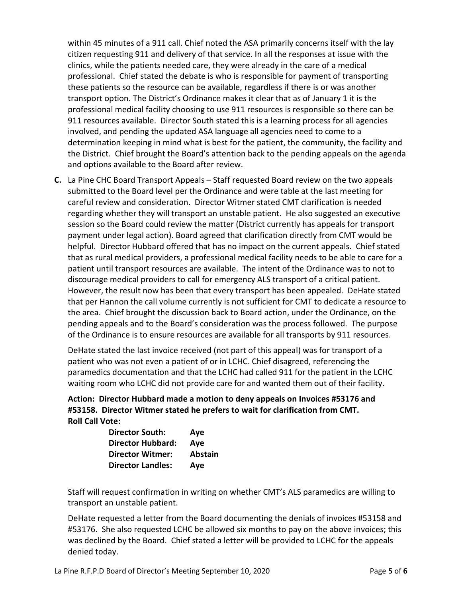within 45 minutes of a 911 call. Chief noted the ASA primarily concerns itself with the lay citizen requesting 911 and delivery of that service. In all the responses at issue with the clinics, while the patients needed care, they were already in the care of a medical professional. Chief stated the debate is who is responsible for payment of transporting these patients so the resource can be available, regardless if there is or was another transport option. The District's Ordinance makes it clear that as of January 1 it is the professional medical facility choosing to use 911 resources is responsible so there can be 911 resources available. Director South stated this is a learning process for all agencies involved, and pending the updated ASA language all agencies need to come to a determination keeping in mind what is best for the patient, the community, the facility and the District. Chief brought the Board's attention back to the pending appeals on the agenda and options available to the Board after review.

C. La Pine CHC Board Transport Appeals – Staff requested Board review on the two appeals submitted to the Board level per the Ordinance and were table at the last meeting for careful review and consideration. Director Witmer stated CMT clarification is needed regarding whether they will transport an unstable patient. He also suggested an executive session so the Board could review the matter (District currently has appeals for transport payment under legal action). Board agreed that clarification directly from CMT would be helpful. Director Hubbard offered that has no impact on the current appeals. Chief stated that as rural medical providers, a professional medical facility needs to be able to care for a patient until transport resources are available. The intent of the Ordinance was to not to discourage medical providers to call for emergency ALS transport of a critical patient. However, the result now has been that every transport has been appealed. DeHate stated that per Hannon the call volume currently is not sufficient for CMT to dedicate a resource to the area. Chief brought the discussion back to Board action, under the Ordinance, on the pending appeals and to the Board's consideration was the process followed. The purpose of the Ordinance is to ensure resources are available for all transports by 911 resources.

DeHate stated the last invoice received (not part of this appeal) was for transport of a patient who was not even a patient of or in LCHC. Chief disagreed, referencing the paramedics documentation and that the LCHC had called 911 for the patient in the LCHC waiting room who LCHC did not provide care for and wanted them out of their facility.

Action: Director Hubbard made a motion to deny appeals on Invoices #53176 and #53158. Director Witmer stated he prefers to wait for clarification from CMT. Roll Call Vote:

| <b>Director South:</b>   | Aye            |
|--------------------------|----------------|
| <b>Director Hubbard:</b> | Ave            |
| <b>Director Witmer:</b>  | <b>Abstain</b> |
| <b>Director Landles:</b> | Aye            |

Staff will request confirmation in writing on whether CMT's ALS paramedics are willing to transport an unstable patient.

DeHate requested a letter from the Board documenting the denials of invoices #53158 and #53176. She also requested LCHC be allowed six months to pay on the above invoices; this was declined by the Board. Chief stated a letter will be provided to LCHC for the appeals denied today.